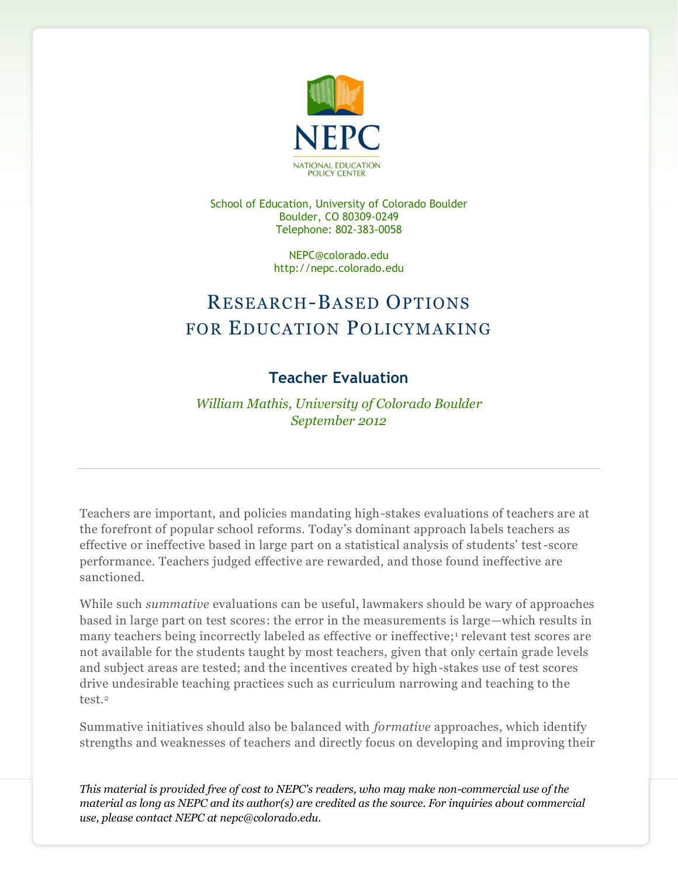

School of Education, University of Colorado Boulder Boulder, CO 80309-0249 Telephone: 802-383-0058

> NEPC@colorado.edu http://nepc.colorado.edu

## RESEARCH-BASED OPTIONS FOR EDUCATION POLICYMAKING

## **Teacher Evaluation**

*William Mathis, University of Colorado Boulder September 2012*

Teachers are important, and policies mandating high-stakes evaluations of teachers are at the forefront of popular school reforms. Today's dominant approach labels teachers as effective or ineffective based in large part on a statistical analysis of students' test-score performance. Teachers judged effective are rewarded, and those found ineffective are sanctioned.

While such *summative* evaluations can be useful, lawmakers should be wary of approaches based in large part on test scores: the error in the measurements is large—which results in many teachers being incorrectly labeled as effective or ineffective;<sup>1</sup> relevant test scores are not available for the students taught by most teachers, given that only certain grade levels and subject areas are tested; and the incentives created by high-stakes use of test scores drive undesirable teaching practices such as curriculum narrowing and teaching to the test.<sup>2</sup>

Summative initiatives should also be balanced with *formative* approaches, which identify strengths and weaknesses of teachers and directly focus on developing and improving their

*This material is provided free of cost to NEPC's readers, who may make non-commercial use of the material as long as NEPC and its author(s) are credited as the source. For inquiries about commercial use, please contact NEPC at nepc@colorado.edu.*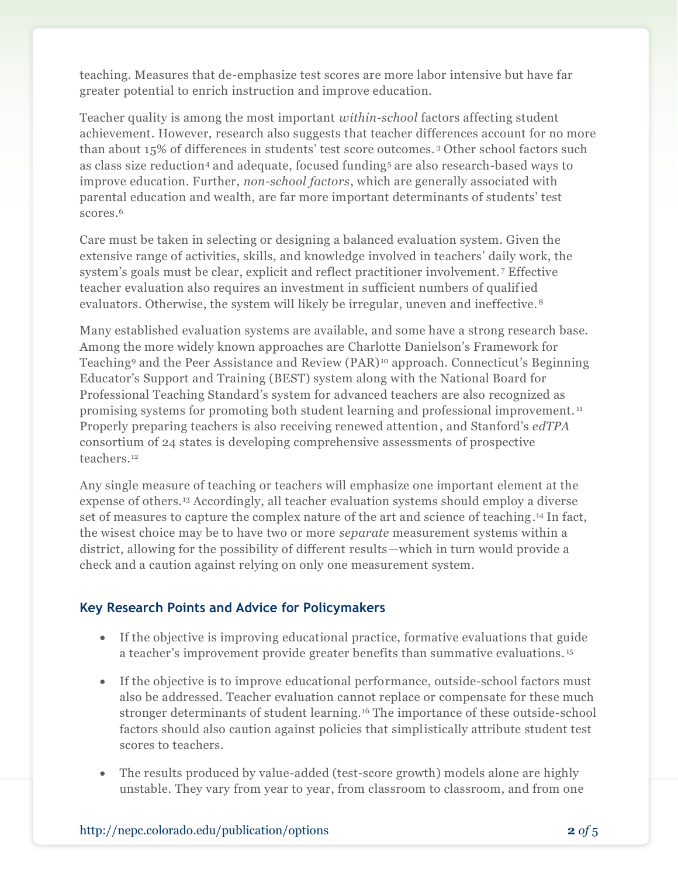teaching. Measures that de-emphasize test scores are more labor intensive but have far greater potential to enrich instruction and improve education.

Teacher quality is among the most important *within-school* factors affecting student achievement. However, research also suggests that teacher differences account for no more than about 15% of differences in students' test score outcomes. <sup>3</sup> Other school factors such as class size reduction<sup>4</sup> and adequate, focused funding<sup>5</sup> are also research-based ways to improve education. Further, *non-school factors*, which are generally associated with parental education and wealth, are far more important determinants of students' test scores.<sup>6</sup>

Care must be taken in selecting or designing a balanced evaluation system. Given the extensive range of activities, skills, and knowledge involved in teachers' daily work, the system's goals must be clear, explicit and reflect practitioner involvement. <sup>7</sup> Effective teacher evaluation also requires an investment in sufficient numbers of qualified evaluators. Otherwise, the system will likely be irregular, uneven and ineffective. <sup>8</sup>

Many established evaluation systems are available, and some have a strong research base. Among the more widely known approaches are Charlotte Danielson's Framework for Teaching<sup>9</sup> and the Peer Assistance and Review (PAR) <sup>10</sup> approach. Connecticut's Beginning Educator's Support and Training (BEST) system along with the National Board for Professional Teaching Standard's system for advanced teachers are also recognized as promising systems for promoting both student learning and professional improvement. <sup>11</sup> Properly preparing teachers is also receiving renewed attention, and Stanford's *edTPA* consortium of 24 states is developing comprehensive assessments of prospective teachers.<sup>12</sup>

Any single measure of teaching or teachers will emphasize one important element at the expense of others.<sup>13</sup> Accordingly, all teacher evaluation systems should employ a diverse set of measures to capture the complex nature of the art and science of teaching. <sup>14</sup> In fact, the wisest choice may be to have two or more *separate* measurement systems within a district, allowing for the possibility of different results—which in turn would provide a check and a caution against relying on only one measurement system.

## **Key Research Points and Advice for Policymakers**

- If the objective is improving educational practice, formative evaluations that guide a teacher's improvement provide greater benefits than summative evaluations. <sup>15</sup>
- If the objective is to improve educational performance, outside-school factors must also be addressed. Teacher evaluation cannot replace or compensate for these much stronger determinants of student learning. <sup>16</sup> The importance of these outside-school factors should also caution against policies that simplistically attribute student test scores to teachers.
- The results produced by value-added (test-score growth) models alone are highly unstable. They vary from year to year, from classroom to classroom, and from one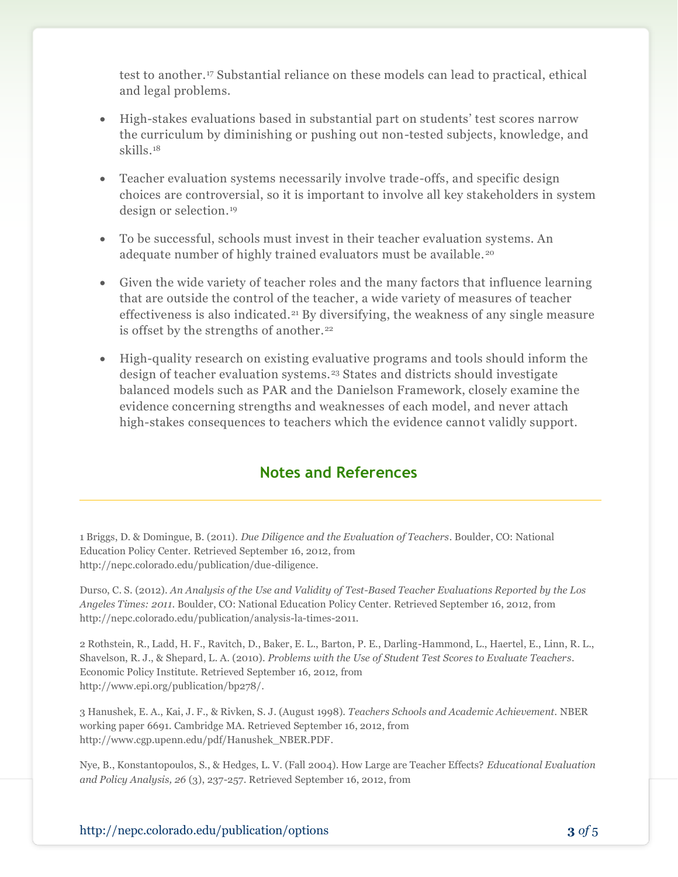test to another.<sup>17</sup> Substantial reliance on these models can lead to practical, ethical and legal problems.

- High-stakes evaluations based in substantial part on students' test scores narrow the curriculum by diminishing or pushing out non-tested subjects, knowledge, and skills.<sup>18</sup>
- Teacher evaluation systems necessarily involve trade-offs, and specific design choices are controversial, so it is important to involve all key stakeholders in system design or selection.<sup>19</sup>
- To be successful, schools must invest in their teacher evaluation systems. An adequate number of highly trained evaluators must be available. <sup>20</sup>
- Given the wide variety of teacher roles and the many factors that influence learning that are outside the control of the teacher, a wide variety of measures of teacher effectiveness is also indicated.<sup>21</sup> By diversifying, the weakness of any single measure is offset by the strengths of another.<sup>22</sup>
- High-quality research on existing evaluative programs and tools should inform the design of teacher evaluation systems.<sup>23</sup> States and districts should investigate balanced models such as PAR and the Danielson Framework, closely examine the evidence concerning strengths and weaknesses of each model, and never attach high-stakes consequences to teachers which the evidence cannot validly support.

## **Notes and References**

1 Briggs, D. & Domingue, B. (2011). *Due Diligence and the Evaluation of Teachers*. Boulder, CO: National Education Policy Center. Retrieved September 16, 2012, from http://nepc.colorado.edu/publication/due-diligence.

Durso, C. S. (2012). *An Analysis of the Use and Validity of Test-Based Teacher Evaluations Reported by the Los Angeles Times: 2011*. Boulder, CO: National Education Policy Center. Retrieved September 16, 2012, from http://nepc.colorado.edu/publication/analysis-la-times-2011.

2 Rothstein, R., Ladd, H. F., Ravitch, D., Baker, E. L., Barton, P. E., Darling-Hammond, L., Haertel, E., Linn, R. L., Shavelson, R. J., & Shepard, L. A. (2010). *Problems with the Use of Student Test Scores to Evaluate Teachers*. Economic Policy Institute. Retrieved September 16, 2012, from http://www.epi.org/publication/bp278/.

3 Hanushek, E. A., Kai, J. F., & Rivken, S. J. (August 1998). *Teachers Schools and Academic Achievement.* NBER working paper 6691. Cambridge MA. Retrieved September 16, 2012, from http://www.cgp.upenn.edu/pdf/Hanushek\_NBER.PDF.

Nye, B., Konstantopoulos, S., & Hedges, L. V. (Fall 2004). How Large are Teacher Effects? *Educational Evaluation and Policy Analysis, 26* (3), 237-257. Retrieved September 16, 2012, from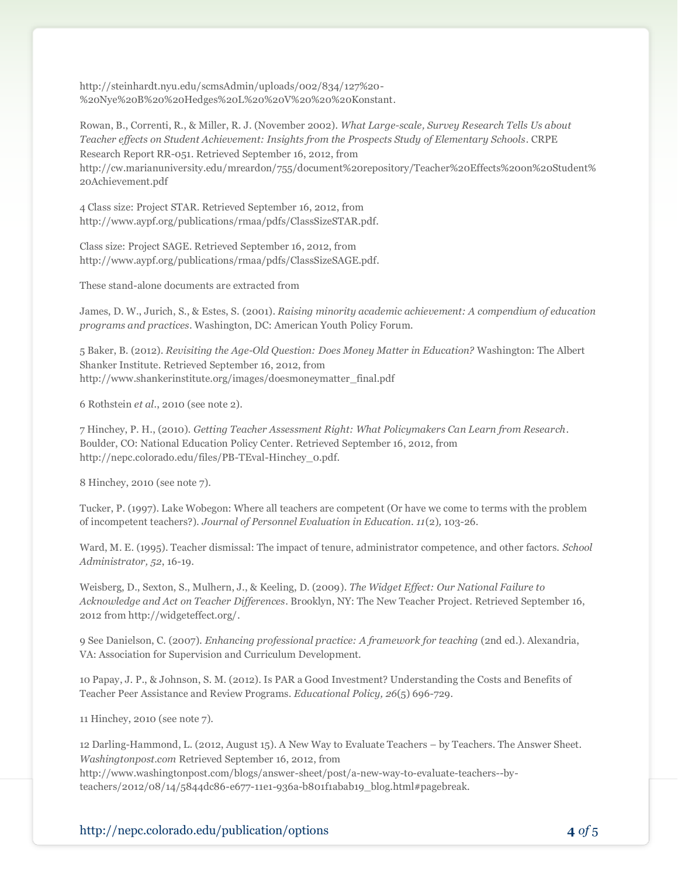http://steinhardt.nyu.edu/scmsAdmin/uploads/002/834/127%20- %20Nye%20B%20%20Hedges%20L%20%20V%20%20%20Konstant.

Rowan, B., Correnti, R., & Miller, R. J. (November 2002). *What Large-scale, Survey Research Tells Us about Teacher effects on Student Achievement: Insights from the Prospects Study of Elementary Schools*. CRPE Research Report RR-051. Retrieved September 16, 2012, from http://cw.marianuniversity.edu/mreardon/755/document%20repository/Teacher%20Effects%20on%20Student% 20Achievement.pdf

4 Class size: Project STAR. Retrieved September 16, 2012, from http://www.aypf.org/publications/rmaa/pdfs/ClassSizeSTAR.pdf.

Class size: Project SAGE. Retrieved September 16, 2012, from http://www.aypf.org/publications/rmaa/pdfs/ClassSizeSAGE.pdf.

These stand-alone documents are extracted from

James, D. W., Jurich, S., & Estes, S. (2001). *Raising minority academic achievement: A compendium of education programs and practices*. Washington, DC: American Youth Policy Forum.

5 Baker, B. (2012). *Revisiting the Age-Old Question: Does Money Matter in Education?* Washington: The Albert Shanker Institute. Retrieved September 16, 2012, from http://www.shankerinstitute.org/images/doesmoneymatter\_final.pdf

6 Rothstein *et al.*, 2010 (see note 2).

7 Hinchey, P. H., (2010). *Getting Teacher Assessment Right: What Policymakers Can Learn from Research*. Boulder, CO: National Education Policy Center. Retrieved September 16, 2012, from http://nepc.colorado.edu/files/PB-TEval-Hinchey\_0.pdf.

8 Hinchey, 2010 (see note 7).

Tucker, P. (1997). Lake Wobegon: Where all teachers are competent (Or have we come to terms with the problem of incompetent teachers?). *Journal of Personnel Evaluation in Education. 11*(2)*,* 103-26.

Ward, M. E. (1995). Teacher dismissal: The impact of tenure, administrator competence, and other factors. *School Administrator, 52*, 16-19.

Weisberg, D., Sexton, S., Mulhern, J., & Keeling, D. (2009). *The Widget Effect: Our National Failure to Acknowledge and Act on Teacher Differences*. Brooklyn, NY: The New Teacher Project. Retrieved September 16, 2012 from http://widgeteffect.org/.

9 See Danielson, C. (2007). *Enhancing professional practice: A framework for teaching* (2nd ed.). Alexandria, VA: Association for Supervision and Curriculum Development.

10 Papay, J. P., & Johnson, S. M. (2012). Is PAR a Good Investment? Understanding the Costs and Benefits of Teacher Peer Assistance and Review Programs. *Educational Policy, 26*(5) 696-729.

11 Hinchey, 2010 (see note 7).

12 Darling-Hammond, L. (2012, August 15). A New Way to Evaluate Teachers – by Teachers. The Answer Sheet. *Washingtonpost.com* Retrieved September 16, 2012, from http://www.washingtonpost.com/blogs/answer-sheet/post/a-new-way-to-evaluate-teachers--byteachers/2012/08/14/5844dc86-e677-11e1-936a-b801f1abab19\_blog.html#pagebreak.